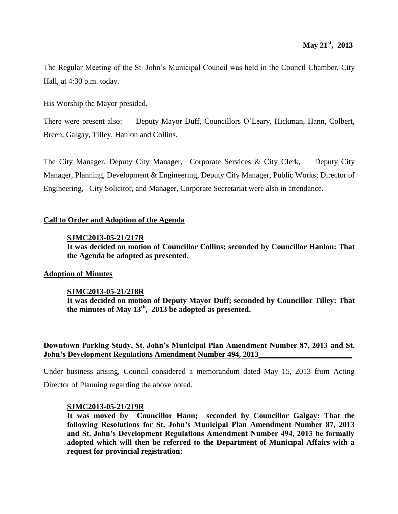The Regular Meeting of the St. John's Municipal Council was held in the Council Chamber, City Hall, at 4:30 p.m. today.

His Worship the Mayor presided.

There were present also: Deputy Mayor Duff, Councillors O'Leary, Hickman, Hann, Colbert, Breen, Galgay, Tilley, Hanlon and Collins.

The City Manager, Deputy City Manager, Corporate Services & City Clerk, Deputy City Manager, Planning, Development & Engineering, Deputy City Manager, Public Works; Director of Engineering, City Solicitor, and Manager, Corporate Secretariat were also in attendance.

### **Call to Order and Adoption of the Agenda**

### **SJMC2013-05-21/217R**

**It was decided on motion of Councillor Collins; seconded by Councillor Hanlon: That the Agenda be adopted as presented.**

### **Adoption of Minutes**

### **SJMC2013-05-21/218R**

**It was decided on motion of Deputy Mayor Duff; seconded by Councillor Tilley: That the minutes of May 13th , 2013 be adopted as presented.**

### **Downtown Parking Study, St. John's Municipal Plan Amendment Number 87, 2013 and St. John's Development Regulations Amendment Number 494, 2013\_\_\_\_\_\_\_\_\_\_\_\_\_\_\_\_\_\_\_\_\_\_\_\_**

Under business arising, Council considered a memorandum dated May 15, 2013 from Acting Director of Planning regarding the above noted.

### **SJMC2013-05-21/219R**

**It was moved by Councillor Hann; seconded by Councillor Galgay: That the following Resolutions for St. John's Municipal Plan Amendment Number 87, 2013 and St. John's Development Regulations Amendment Number 494, 2013 be formally adopted which will then be referred to the Department of Municipal Affairs with a request for provincial registration:**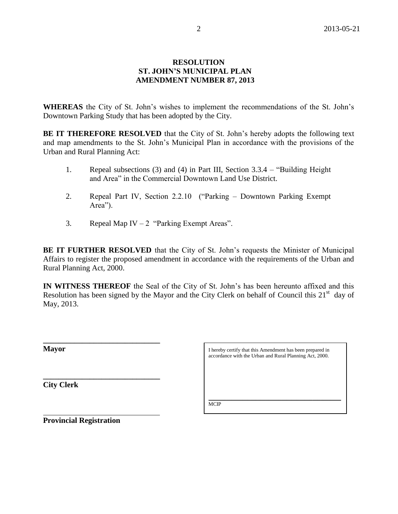### **RESOLUTION ST. JOHN'S MUNICIPAL PLAN AMENDMENT NUMBER 87, 2013**

**WHEREAS** the City of St. John's wishes to implement the recommendations of the St. John's Downtown Parking Study that has been adopted by the City.

**BE IT THEREFORE RESOLVED** that the City of St. John's hereby adopts the following text and map amendments to the St. John's Municipal Plan in accordance with the provisions of the Urban and Rural Planning Act:

- 1. Repeal subsections (3) and (4) in Part III, Section 3.3.4 "Building Height and Area" in the Commercial Downtown Land Use District.
- 2. Repeal Part IV, Section 2.2.10 ("Parking Downtown Parking Exempt Area").
- 3. Repeal Map IV 2 "Parking Exempt Areas".

**BE IT FURTHER RESOLVED** that the City of St. John's requests the Minister of Municipal Affairs to register the proposed amendment in accordance with the requirements of the Urban and Rural Planning Act, 2000.

**IN WITNESS THEREOF** the Seal of the City of St. John's has been hereunto affixed and this Resolution has been signed by the Mayor and the City Clerk on behalf of Council this  $21<sup>st</sup>$  day of May, 2013.

**Mayor**

**City Clerk**

I hereby certify that this Amendment has been prepared in accordance with the Urban and Rural Planning Act, 2000.

 $\mathcal{L}_\text{max}$  , and the contract of the contract of the contract of the contract of the contract of the contract of the contract of the contract of the contract of the contract of the contract of the contract of the contr **MCIP** 

**Provincial Registration**

**\_\_\_\_\_\_\_\_\_\_\_\_\_\_\_\_\_\_\_\_\_\_\_\_\_\_\_\_\_\_**

**\_\_\_\_\_\_\_\_\_\_\_\_\_\_\_\_\_\_\_\_\_\_\_\_\_\_\_\_\_\_**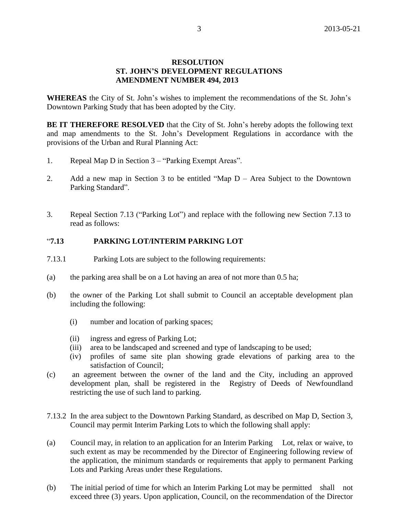### **RESOLUTION ST. JOHN'S DEVELOPMENT REGULATIONS AMENDMENT NUMBER 494, 2013**

**WHEREAS** the City of St. John's wishes to implement the recommendations of the St. John's Downtown Parking Study that has been adopted by the City.

**BE IT THEREFORE RESOLVED** that the City of St. John's hereby adopts the following text and map amendments to the St. John's Development Regulations in accordance with the provisions of the Urban and Rural Planning Act:

- 1. Repeal Map D in Section 3 "Parking Exempt Areas".
- 2. Add a new map in Section 3 to be entitled "Map D Area Subject to the Downtown Parking Standard".
- 3. Repeal Section 7.13 ("Parking Lot") and replace with the following new Section 7.13 to read as follows:

### "**7.13 PARKING LOT/INTERIM PARKING LOT**

- 7.13.1 Parking Lots are subject to the following requirements:
- (a) the parking area shall be on a Lot having an area of not more than 0.5 ha;
- (b) the owner of the Parking Lot shall submit to Council an acceptable development plan including the following:
	- (i) number and location of parking spaces;
	- (ii) ingress and egress of Parking Lot;
	- (iii) area to be landscaped and screened and type of landscaping to be used;
	- (iv) profiles of same site plan showing grade elevations of parking area to the satisfaction of Council;
- (c) an agreement between the owner of the land and the City, including an approved development plan, shall be registered in the Registry of Deeds of Newfoundland restricting the use of such land to parking.
- 7.13.2 In the area subject to the Downtown Parking Standard, as described on Map D, Section 3, Council may permit Interim Parking Lots to which the following shall apply:
- (a) Council may, in relation to an application for an Interim Parking Lot, relax or waive, to such extent as may be recommended by the Director of Engineering following review of the application, the minimum standards or requirements that apply to permanent Parking Lots and Parking Areas under these Regulations.
- (b) The initial period of time for which an Interim Parking Lot may be permitted shall not exceed three (3) years. Upon application, Council, on the recommendation of the Director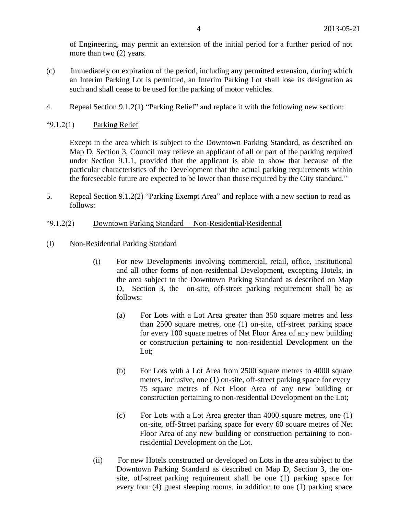of Engineering, may permit an extension of the initial period for a further period of not more than two (2) years.

- (c) Immediately on expiration of the period, including any permitted extension, during which an Interim Parking Lot is permitted, an Interim Parking Lot shall lose its designation as such and shall cease to be used for the parking of motor vehicles.
- 4. Repeal Section 9.1.2(1) "Parking Relief" and replace it with the following new section:

" $9.1.2(1)$  Parking Relief

Except in the area which is subject to the Downtown Parking Standard, as described on Map D, Section 3, Council may relieve an applicant of all or part of the parking required under Section 9.1.1, provided that the applicant is able to show that because of the particular characteristics of the Development that the actual parking requirements within the foreseeable future are expected to be lower than those required by the City standard."

- 5. Repeal Section 9.1.2(2) "Parking Exempt Area" and replace with a new section to read as follows:
- "9.1.2(2) Downtown Parking Standard Non-Residential/Residential
- (I) Non-Residential Parking Standard
	- (i) For new Developments involving commercial, retail, office, institutional and all other forms of non-residential Development, excepting Hotels, in the area subject to the Downtown Parking Standard as described on Map D, Section 3, the on-site, off-street parking requirement shall be as follows:
		- (a) For Lots with a Lot Area greater than 350 square metres and less than 2500 square metres, one (1) on-site, off-street parking space for every 100 square metres of Net Floor Area of any new building or construction pertaining to non-residential Development on the Lot;
		- (b) For Lots with a Lot Area from 2500 square metres to 4000 square metres, inclusive, one (1) on-site, off-street parking space for every 75 square metres of Net Floor Area of any new building or construction pertaining to non-residential Development on the Lot;
		- (c) For Lots with a Lot Area greater than 4000 square metres, one (1) on-site, off-Street parking space for every 60 square metres of Net Floor Area of any new building or construction pertaining to nonresidential Development on the Lot.
	- (ii) For new Hotels constructed or developed on Lots in the area subject to the Downtown Parking Standard as described on Map D, Section 3, the onsite, off-street parking requirement shall be one (1) parking space for every four (4) guest sleeping rooms, in addition to one (1) parking space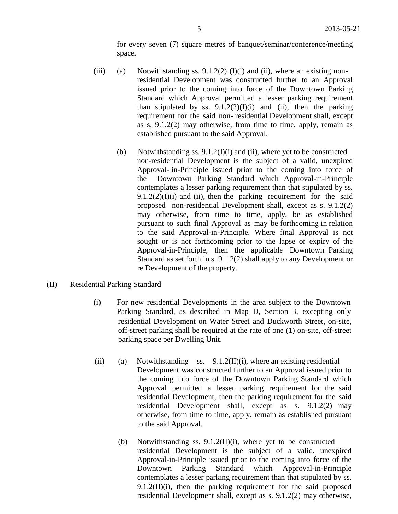for every seven (7) square metres of banquet/seminar/conference/meeting space.

- (iii) (a) Notwithstanding ss.  $9.1.2(2)$  (I)(i) and (ii), where an existing nonresidential Development was constructed further to an Approval issued prior to the coming into force of the Downtown Parking Standard which Approval permitted a lesser parking requirement than stipulated by ss.  $9.1.2(2)(I)(i)$  and (ii), then the parking requirement for the said non- residential Development shall, except as s. 9.1.2(2) may otherwise, from time to time, apply, remain as established pursuant to the said Approval.
	- (b) Notwithstanding ss.  $9.1.2(I)(i)$  and (ii), where yet to be constructed non-residential Development is the subject of a valid, unexpired Approval- in-Principle issued prior to the coming into force of the Downtown Parking Standard which Approval-in-Principle contemplates a lesser parking requirement than that stipulated by ss.  $9.1.2(2)(I)(i)$  and (ii), then the parking requirement for the said proposed non-residential Development shall, except as s. 9.1.2(2) may otherwise, from time to time, apply, be as established pursuant to such final Approval as may be forthcoming in relation to the said Approval-in-Principle. Where final Approval is not sought or is not forthcoming prior to the lapse or expiry of the Approval-in-Principle, then the applicable Downtown Parking Standard as set forth in s. 9.1.2(2) shall apply to any Development or re Development of the property.
- (II) Residential Parking Standard
	- (i) For new residential Developments in the area subject to the Downtown Parking Standard, as described in Map D, Section 3, excepting only residential Development on Water Street and Duckworth Street, on-site, off-street parking shall be required at the rate of one (1) on-site, off-street parking space per Dwelling Unit.
	- (ii) (a) Notwithstanding ss.  $9.1.2(II)(i)$ , where an existing residential Development was constructed further to an Approval issued prior to the coming into force of the Downtown Parking Standard which Approval permitted a lesser parking requirement for the said residential Development, then the parking requirement for the said residential Development shall, except as s. 9.1.2(2) may otherwise, from time to time, apply, remain as established pursuant to the said Approval.
		- (b) Notwithstanding ss. 9.1.2(II)(i), where yet to be constructed residential Development is the subject of a valid, unexpired Approval-in-Principle issued prior to the coming into force of the Downtown Parking Standard which Approval-in-Principle contemplates a lesser parking requirement than that stipulated by ss. 9.1.2(II)(i), then the parking requirement for the said proposed residential Development shall, except as s. 9.1.2(2) may otherwise,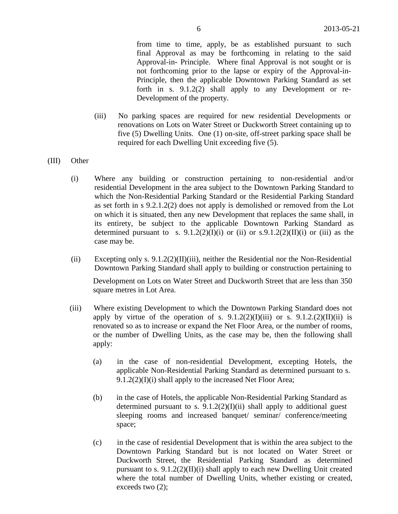from time to time, apply, be as established pursuant to such final Approval as may be forthcoming in relating to the said Approval-in- Principle. Where final Approval is not sought or is not forthcoming prior to the lapse or expiry of the Approval-in-Principle, then the applicable Downtown Parking Standard as set forth in s. 9.1.2(2) shall apply to any Development or re-Development of the property.

(iii) No parking spaces are required for new residential Developments or renovations on Lots on Water Street or Duckworth Street containing up to five (5) Dwelling Units. One (1) on-site, off-street parking space shall be required for each Dwelling Unit exceeding five (5).

### (III) Other

- (i) Where any building or construction pertaining to non-residential and/or residential Development in the area subject to the Downtown Parking Standard to which the Non-Residential Parking Standard or the Residential Parking Standard as set forth in s 9.2.1.2(2) does not apply is demolished or removed from the Lot on which it is situated, then any new Development that replaces the same shall, in its entirety, be subject to the applicable Downtown Parking Standard as determined pursuant to s.  $9.1.2(2)(I)(i)$  or (ii) or s. $9.1.2(2)(II)(i)$  or (iii) as the case may be.
- (ii) Excepting only s. 9.1.2(2)(II)(iii), neither the Residential nor the Non-Residential Downtown Parking Standard shall apply to building or construction pertaining to

Development on Lots on Water Street and Duckworth Street that are less than 350 square metres in Lot Area.

- (iii) Where existing Development to which the Downtown Parking Standard does not apply by virtue of the operation of s.  $9.1.2(2)(I)(iii)$  or s.  $9.1.2(2)(II)(ii)$  is renovated so as to increase or expand the Net Floor Area, or the number of rooms, or the number of Dwelling Units, as the case may be, then the following shall apply:
	- (a) in the case of non-residential Development, excepting Hotels, the applicable Non-Residential Parking Standard as determined pursuant to s. 9.1.2(2)(I)(i) shall apply to the increased Net Floor Area;
	- (b) in the case of Hotels, the applicable Non-Residential Parking Standard as determined pursuant to s.  $9.1.2(2)(I)(ii)$  shall apply to additional guest sleeping rooms and increased banquet/ seminar/ conference/meeting space;
	- (c) in the case of residential Development that is within the area subject to the Downtown Parking Standard but is not located on Water Street or Duckworth Street, the Residential Parking Standard as determined pursuant to s.  $9.1.2(2)(II)(i)$  shall apply to each new Dwelling Unit created where the total number of Dwelling Units, whether existing or created, exceeds two (2);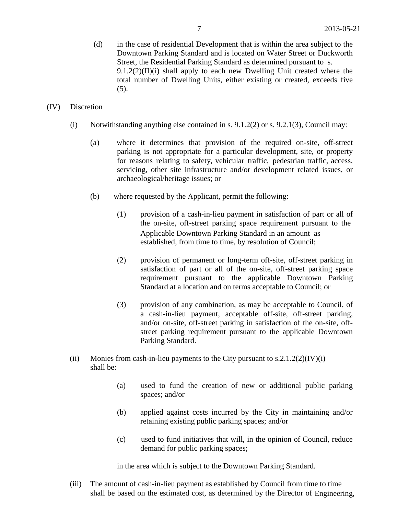- (d) in the case of residential Development that is within the area subject to the Downtown Parking Standard and is located on Water Street or Duckworth Street, the Residential Parking Standard as determined pursuant to s.  $9.1.2(2)(II)(i)$  shall apply to each new Dwelling Unit created where the total number of Dwelling Units, either existing or created, exceeds five (5).
- (IV) Discretion
	- (i) Notwithstanding anything else contained in s. 9.1.2(2) or s. 9.2.1(3), Council may:
		- (a) where it determines that provision of the required on-site, off-street parking is not appropriate for a particular development, site, or property for reasons relating to safety, vehicular traffic, pedestrian traffic, access, servicing, other site infrastructure and/or development related issues, or archaeological/heritage issues; or
		- (b) where requested by the Applicant, permit the following:
			- (1) provision of a cash-in-lieu payment in satisfaction of part or all of the on-site, off-street parking space requirement pursuant to the Applicable Downtown Parking Standard in an amount as established, from time to time, by resolution of Council;
			- (2) provision of permanent or long-term off-site, off-street parking in satisfaction of part or all of the on-site, off-street parking space requirement pursuant to the applicable Downtown Parking Standard at a location and on terms acceptable to Council; or
			- (3) provision of any combination, as may be acceptable to Council, of a cash-in-lieu payment, acceptable off-site, off-street parking, and/or on-site, off-street parking in satisfaction of the on-site, offstreet parking requirement pursuant to the applicable Downtown Parking Standard.
	- (ii) Monies from cash-in-lieu payments to the City pursuant to  $s.2.1.2(2)(IV)(i)$ shall be:
		- (a) used to fund the creation of new or additional public parking spaces; and/or
		- (b) applied against costs incurred by the City in maintaining and/or retaining existing public parking spaces; and/or
		- (c) used to fund initiatives that will, in the opinion of Council, reduce demand for public parking spaces;

in the area which is subject to the Downtown Parking Standard.

(iii) The amount of cash-in-lieu payment as established by Council from time to time shall be based on the estimated cost, as determined by the Director of Engineering,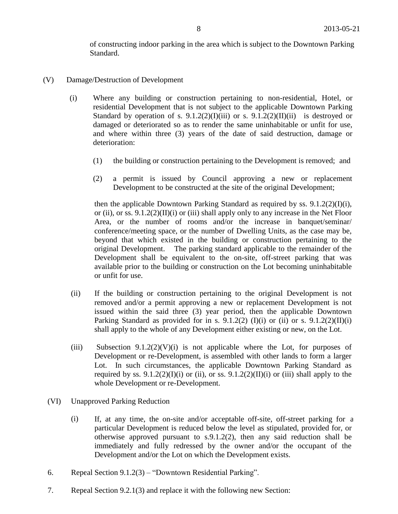of constructing indoor parking in the area which is subject to the Downtown Parking Standard.

- (V) Damage/Destruction of Development
	- (i) Where any building or construction pertaining to non-residential, Hotel, or residential Development that is not subject to the applicable Downtown Parking Standard by operation of s.  $9.1.2(2)(I)(iii)$  or s.  $9.1.2(2)(II)(ii)$  is destroyed or damaged or deteriorated so as to render the same uninhabitable or unfit for use, and where within three (3) years of the date of said destruction, damage or deterioration:
		- (1) the building or construction pertaining to the Development is removed; and
		- (2) a permit is issued by Council approving a new or replacement Development to be constructed at the site of the original Development;

then the applicable Downtown Parking Standard as required by ss. 9.1.2(2)(I)(i), or (ii), or ss.  $9.1.2(2)(II)(i)$  or (iii) shall apply only to any increase in the Net Floor Area, or the number of rooms and/or the increase in banquet/seminar/ conference/meeting space, or the number of Dwelling Units, as the case may be, beyond that which existed in the building or construction pertaining to the original Development. The parking standard applicable to the remainder of the Development shall be equivalent to the on-site, off-street parking that was available prior to the building or construction on the Lot becoming uninhabitable or unfit for use.

- (ii) If the building or construction pertaining to the original Development is not removed and/or a permit approving a new or replacement Development is not issued within the said three (3) year period, then the applicable Downtown Parking Standard as provided for in s. 9.1.2(2) (I)(i) or (ii) or s. 9.1.2(2)(II)(i) shall apply to the whole of any Development either existing or new, on the Lot.
- (iii) Subsection  $9.1.2(2)(V)(i)$  is not applicable where the Lot, for purposes of Development or re-Development, is assembled with other lands to form a larger Lot. In such circumstances, the applicable Downtown Parking Standard as required by ss.  $9.1.2(2)(I)(i)$  or (ii), or ss.  $9.1.2(2)(II)(i)$  or (iii) shall apply to the whole Development or re-Development.
- (VI) Unapproved Parking Reduction
	- (i) If, at any time, the on-site and/or acceptable off-site, off-street parking for a particular Development is reduced below the level as stipulated, provided for, or otherwise approved pursuant to s.9.1.2(2), then any said reduction shall be immediately and fully redressed by the owner and/or the occupant of the Development and/or the Lot on which the Development exists.
- 6. Repeal Section 9.1.2(3) "Downtown Residential Parking".
- 7. Repeal Section 9.2.1(3) and replace it with the following new Section: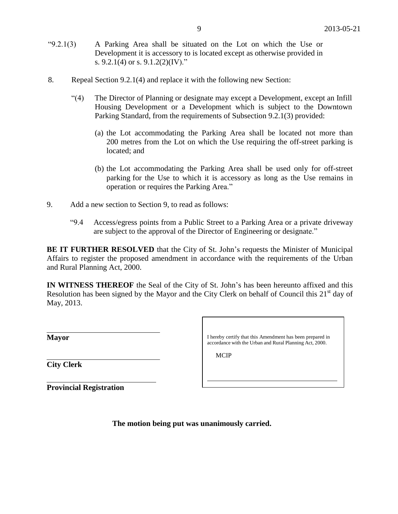- "9.2.1(3) A Parking Area shall be situated on the Lot on which the Use or Development it is accessory to is located except as otherwise provided in s. 9.2.1(4) or s. 9.1.2(2)(IV)."
- 8. Repeal Section 9.2.1(4) and replace it with the following new Section:
	- "(4) The Director of Planning or designate may except a Development, except an Infill Housing Development or a Development which is subject to the Downtown Parking Standard, from the requirements of Subsection 9.2.1(3) provided:
		- (a) the Lot accommodating the Parking Area shall be located not more than 200 metres from the Lot on which the Use requiring the off-street parking is located; and
		- (b) the Lot accommodating the Parking Area shall be used only for off-street parking for the Use to which it is accessory as long as the Use remains in operation or requires the Parking Area."
- 9. Add a new section to Section 9, to read as follows:
	- "9.4 Access/egress points from a Public Street to a Parking Area or a private driveway are subject to the approval of the Director of Engineering or designate."

**BE IT FURTHER RESOLVED** that the City of St. John's requests the Minister of Municipal Affairs to register the proposed amendment in accordance with the requirements of the Urban and Rural Planning Act, 2000.

**IN WITNESS THEREOF** the Seal of the City of St. John's has been hereunto affixed and this Resolution has been signed by the Mayor and the City Clerk on behalf of Council this  $21<sup>st</sup>$  day of May, 2013.

**City Clerk**

**Provincial Registration**

**Mayor** I hereby certify that this Amendment has been prepared in accordance with the Urban and Rural Planning Act, 2000.

**MCIP** 

**The motion being put was unanimously carried.**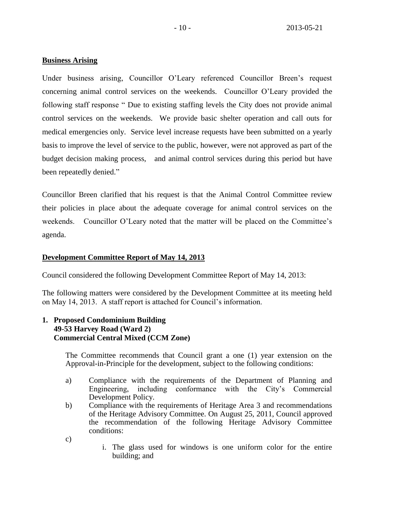### **Business Arising**

Under business arising, Councillor O'Leary referenced Councillor Breen's request concerning animal control services on the weekends. Councillor O'Leary provided the following staff response " Due to existing staffing levels the City does not provide animal control services on the weekends. We provide basic shelter operation and call outs for medical emergencies only. Service level increase requests have been submitted on a yearly basis to improve the level of service to the public, however, were not approved as part of the budget decision making process, and animal control services during this period but have been repeatedly denied."

Councillor Breen clarified that his request is that the Animal Control Committee review their policies in place about the adequate coverage for animal control services on the weekends. Councillor O'Leary noted that the matter will be placed on the Committee's agenda.

### **Development Committee Report of May 14, 2013**

Council considered the following Development Committee Report of May 14, 2013:

The following matters were considered by the Development Committee at its meeting held on May 14, 2013. A staff report is attached for Council's information.

### **1. Proposed Condominium Building 49-53 Harvey Road (Ward 2) Commercial Central Mixed (CCM Zone)**

The Committee recommends that Council grant a one (1) year extension on the Approval-in-Principle for the development, subject to the following conditions:

- a) Compliance with the requirements of the Department of Planning and Engineering, including conformance with the City's Commercial Development Policy.
- b) Compliance with the requirements of Heritage Area 3 and recommendations of the Heritage Advisory Committee. On August 25, 2011, Council approved the recommendation of the following Heritage Advisory Committee conditions:
- c)
- i. The glass used for windows is one uniform color for the entire building; and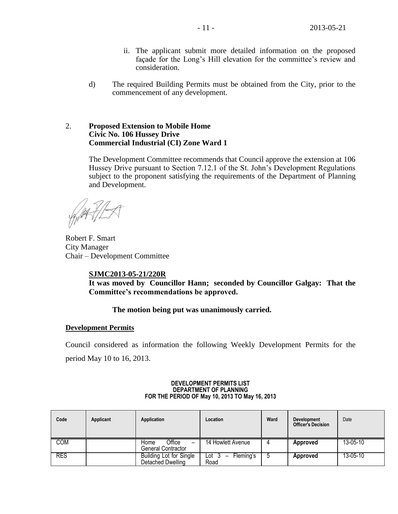- ii. The applicant submit more detailed information on the proposed façade for the Long's Hill elevation for the committee's review and consideration.
- d) The required Building Permits must be obtained from the City, prior to the commencement of any development.

### 2. **Proposed Extension to Mobile Home Civic No. 106 Hussey Drive Commercial Industrial (CI) Zone Ward 1**

The Development Committee recommends that Council approve the extension at 106 Hussey Drive pursuant to Section 7.12.1 of the St. John's Development Regulations subject to the proponent satisfying the requirements of the Department of Planning and Development.

Robert F. Smart City Manager Chair – Development Committee

### **SJMC2013-05-21/220R**

**It was moved by Councillor Hann; seconded by Councillor Galgay: That the Committee's recommendations be approved.** 

### **The motion being put was unanimously carried.**

#### **Development Permits**

Council considered as information the following Weekly Development Permits for the period May 10 to 16, 2013.

| Code       | Applicant | Application                                         | Location                                               | Ward | <b>Development</b><br><b>Officer's Decision</b> | Date           |
|------------|-----------|-----------------------------------------------------|--------------------------------------------------------|------|-------------------------------------------------|----------------|
| COM        |           | Office<br>Home<br>-<br>General Contractor           | 14 Howlett Avenue                                      | Д    | Approved                                        | $13 - 05 - 10$ |
| <b>RES</b> |           | <b>Building Lot for Single</b><br>Detached Dwelling | Fleming's<br>Lot 3<br>$\overline{\phantom{0}}$<br>Road |      | Approved                                        | $13 - 05 - 10$ |

#### **DEVELOPMENT PERMITS LIST DEPARTMENT OF PLANNING FOR THE PERIOD OF May 10, 2013 TO May 16, 2013**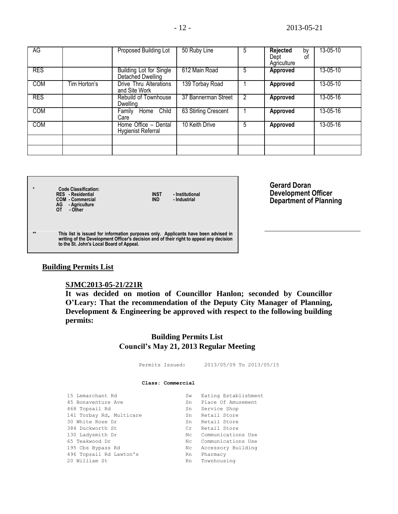| AG         |              | Proposed Building Lot                             | 50 Ruby Line         | 5 | <b>Rejected</b><br>by<br>Dept<br>οf<br>Agriculture | 13-05-10 |
|------------|--------------|---------------------------------------------------|----------------------|---|----------------------------------------------------|----------|
| <b>RES</b> |              | Building Lot for Single<br>Detached Dwelling      | 612 Main Road        | 5 | <b>Approved</b>                                    | 13-05-10 |
| <b>COM</b> | Tim Horton's | Drive Thru Alterations<br>and Site Work           | 139 Torbay Road      |   | Approved                                           | 13-05-10 |
| <b>RES</b> |              | Rebuild of Townhouse<br><b>Dwelling</b>           | 37 Bannerman Street  | 2 | Approved                                           | 13-05-16 |
| <b>COM</b> |              | Home Child<br>Family<br>Care                      | 63 Stirling Crescent |   | Approved                                           | 13-05-16 |
| <b>COM</b> |              | Home Office - Dental<br><b>Hygienist Referral</b> | 10 Keith Drive       | 5 | Approved                                           | 13-05-16 |
|            |              |                                                   |                      |   |                                                    |          |
|            |              |                                                   |                      |   |                                                    |          |

**\* Code Classification: RES - Residential INST - Institutional COM - Commercial IND - Industrial AG - Agriculture OT - Other**

**Gerard Doran Development Officer Department of Planning**

**\*\* This list is issued for information purposes only. Applicants have been advised in writing of the Development Officer's decision and of their right to appeal any decision to the St. John's Local Board of Appeal.**

### **Building Permits List**

### **SJMC2013-05-21/221R**

**It was decided on motion of Councillor Hanlon; seconded by Councillor O'Leary: That the recommendation of the Deputy City Manager of Planning, Development & Engineering be approved with respect to the following building permits:**

> **Building Permits List Council's May 21, 2013 Regular Meeting**

 Permits Issued: 2013/05/09 To 2013/05/15 **Class: Commercial** 15 Lemarchant Rd Sw Eating Establishment 45 Bonaventure Ave Sn Blace Of Amusement 468 Topsail Rd Sn Service Shop 141 Torbay Rd, Multicare Sn Retail Store<br>30 White Rose Dr Sn Retail Store 30 White Rose Dr Sn Retail Store 384 Duckworth St Cr Retail Store 130 Ladysmith Dr Nc Communications Use

65 Teakwood Dr Nc Communications Use 195 Cbs Bypass Rd Nc Accessory Building 496 Topsail Rd Lawton's Rn Pharmacy

20 William St Rn Townhousing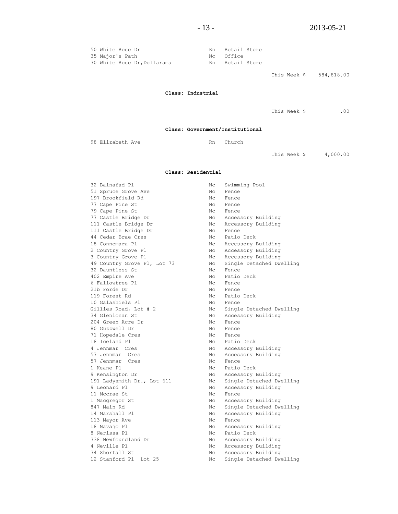| 50 White Rose Dr            | Rn | Retail Store    |
|-----------------------------|----|-----------------|
| 35 Major's Path             |    | Nc Office       |
| 30 White Rose Dr, Dollarama |    | Rn Retail Store |

This Week \$ 584,818.00

#### **Class: Industrial**

This Week \$ .00

**Class: Government/Institutional**

98 Elizabeth Ave Rn Church

This Week \$ 4,000.00

#### **Class: Residential**

| 32 Balnafad Pl              | Nс             | Swimming Pool            |
|-----------------------------|----------------|--------------------------|
| 51 Spruce Grove Ave         | Nc             | Fence                    |
| 197 Brookfield Rd           | Nc.            | Fence                    |
| 77 Cape Pine St             | Nc             | Fence                    |
| 79 Cape Pine St             | Nc             | Fence                    |
| 77 Castle Bridge Dr         | Nc             | Accessory Building       |
| 111 Castle Bridge Dr        | Nc             | Accessory Building       |
| 111 Castle Bridge Dr        | Nc             | Fence                    |
| 44 Cedar Brae Cres          | N <sub>C</sub> | Patio Deck               |
| 18 Connemara Pl             | N <sub>C</sub> | Accessory Building       |
| 2 Country Grove Pl          | N <sub>C</sub> | Accessory Building       |
| 3 Country Grove Pl          | Nc             | Accessory Building       |
| 49 Country Grove Pl, Lot 73 | Nc.            | Single Detached Dwelling |
| 32 Dauntless St             | Nc.            | Fence                    |
| 402 Empire Ave              | Nc.            | Patio Deck               |
| 6 Fallowtree Pl             | Nc.            | Fence                    |
| 21b Forde Dr                | $N_{\rm C}$    | Fence                    |
| 119 Forest Rd               | N <sub>C</sub> | Patio Deck               |
| 10 Galashiels Pl            | Nc             | Fence                    |
| Gillies Road, Lot # 2       | Nc             | Single Detached Dwelling |
| 34 Glenlonan St             | Nc             | Accessory Building       |
| 204 Green Acre Dr           | N <sub>C</sub> | Fence                    |
| 80 Guzzwell Dr              | Nc             | Fence                    |
| 71 Hopedale Cres            | Nc             | Fence                    |
| 18 Iceland Pl               | Nc             | Patio Deck               |
| 4 Jennmar Cres              | Nc             | Accessory Building       |
| 57 Jennmar Cres             | Nc             | Accessory Building       |
| 57 Jennmar Cres             | Nc.            | Fence                    |
| 1 Keane Pl                  | Nc             | Patio Deck               |
| 9 Kensington Dr             | Nc             | Accessory Building       |
| 191 Ladysmith Dr., Lot 611  | Nc             | Single Detached Dwelling |
| 9 Leonard Pl                | Nc.            | Accessory Building       |
| 11 Mccrae St                | Nc.            | Fence                    |
| 1 Macgregor St              | Nc             | Accessory Building       |
| 847 Main Rd                 | Nc.            | Single Detached Dwelling |
| 14 Marshall Pl              | Nc.            | Accessory Building       |
| 113 Mayor Ave               | Nc             | Fence                    |
| 18 Navajo Pl                | Nc             | Accessory Building       |
| 8 Nerissa Pl                | N <sub>C</sub> | Patio Deck               |
| 338 Newfoundland Dr         | Nc             | Accessory Building       |
| 4 Neville Pl                | Nc             | Accessory Building       |
| 34 Shortall St              | Nc             | Accessory Building       |
| 12 Stanford Pl Lot 25       | Nc             | Single Detached Dwelling |
|                             |                |                          |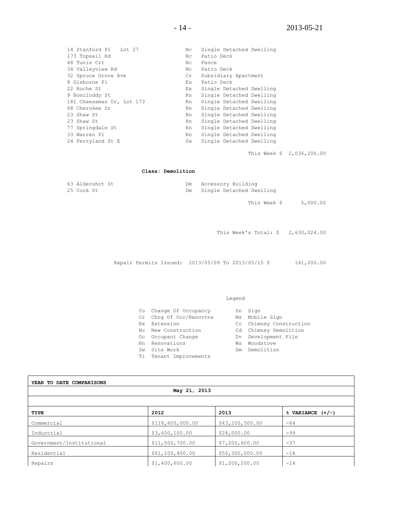| 14 Stanford Pl Lot 27     | Nc. | Single Detached Dwelling |
|---------------------------|-----|--------------------------|
| 173 Topsail Rd            | Nc. | Patio Deck               |
| 48 Tunis Crt              | Nc. | Fence                    |
| 34 Valleyview Rd          | Nc  | Patio Deck               |
| 32 Spruce Grove Ave       | Cr  | Subsidiary Apartment     |
| 8 Gisborne Pl             | Ex. | Patio Deck               |
| 22 Roche St               | Ex. | Single Detached Dwelling |
| 9 Boncloddy St            | Rn  | Single Detached Dwelling |
| 181 Cheeseman Dr, Lot 173 | Rn  | Single Detached Dwelling |
| 68 Cherokee Dr            | Rn. | Single Detached Dwelling |
| 23 Shaw St                | Rn  | Single Detached Dwelling |
| 23 Shaw St                | Rn. | Single Detached Dwelling |
| 77 Springdale St          | Rn. | Single Detached Dwelling |
| 33 Warren Pl              | Rn  | Single Detached Dwelling |
| 24 Ferryland St E         | Sw  | Single Detached Dwelling |
|                           |     |                          |

This Week \$ 2,036,206.00

#### **Class: Demolition**

| 63 Aldershot St | Dm. | Accessory Building       |
|-----------------|-----|--------------------------|
| 25 Cook St      | Dm  | Single Detached Dwelling |
|                 |     |                          |

This Week \$ 5,000.00

This Week's Total: \$ 2,630,024.00

Repair Permits Issued: 2013/05/09 To 2013/05/15 \$ 141,000.00

#### Legend

| Co Change Of Occupancy  |
|-------------------------|
| Cr Chng Of Occ/Renovtns |

- 
- 
- 
- 

 $\Gamma$ 

- Sw Site Work Dm Demolition
- Ti Tenant Improvements

- Sn Sign Ms Mobile Sign
- Ex Extension Cc Chimney Construction
- Nc New Construction Cd Chimney Demolition
- Oc Occupant Change Manuel Dv Development File
- Rn Renovations **William Warehouse** Wis Woodstove
	-
	-

| YEAR TO DATE COMPARISONS |                  |                 |                      |  |  |  |  |  |
|--------------------------|------------------|-----------------|----------------------|--|--|--|--|--|
| May 21, 2013             |                  |                 |                      |  |  |  |  |  |
|                          |                  |                 |                      |  |  |  |  |  |
| TYPE                     | 2012             | 2013            | $%$ VARIANCE $(+/-)$ |  |  |  |  |  |
| Commercial               | \$118,600,000.00 | \$43,200,500.00 | $-64$                |  |  |  |  |  |
| Industrial               | \$3,600,100.00   | \$28,000.00     | $-99$                |  |  |  |  |  |
| Government/Institutional | \$11,500,700.00  | \$7,200,600.00  | $-37$                |  |  |  |  |  |
| Residential              | \$61,100,400.00  | \$50,300,000.00 | $-18$                |  |  |  |  |  |
| Repairs                  | \$1,400,600.00   | \$1,200,200.00  | $-14$                |  |  |  |  |  |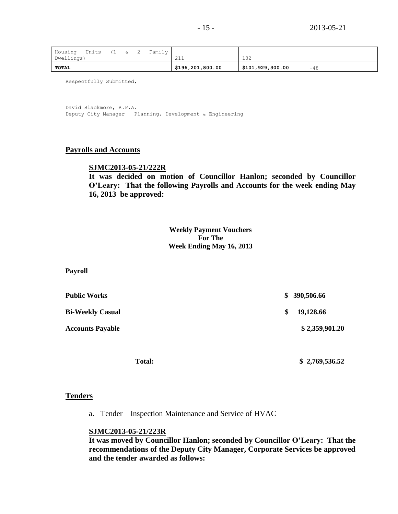| Housing<br>Dwellings) | Units | (1 | & | $\angle$ | Family | 011<br>444       | 132              |       |
|-----------------------|-------|----|---|----------|--------|------------------|------------------|-------|
| <b>TOTAL</b>          |       |    |   |          |        | \$196,201,800.00 | \$101,929,300.00 | $-48$ |

Respectfully Submitted,

David Blackmore, R.P.A. Deputy City Manager – Planning, Development & Engineering

### **Payrolls and Accounts**

### **SJMC2013-05-21/222R**

**It was decided on motion of Councillor Hanlon; seconded by Councillor O'Leary: That the following Payrolls and Accounts for the week ending May 16, 2013 be approved:**

> **Weekly Payment Vouchers For The Week Ending May 16, 2013**

**Payroll**

| Public Works            | \$390,506.66    |
|-------------------------|-----------------|
| <b>Bi-Weekly Casual</b> | \$<br>19,128.66 |
| <b>Accounts Payable</b> | \$2,359,901.20  |
|                         |                 |

 **Total: \$ 2,769,536.52**

### **Tenders**

a. Tender – Inspection Maintenance and Service of HVAC

### **SJMC2013-05-21/223R**

**It was moved by Councillor Hanlon; seconded by Councillor O'Leary: That the recommendations of the Deputy City Manager, Corporate Services be approved and the tender awarded as follows:**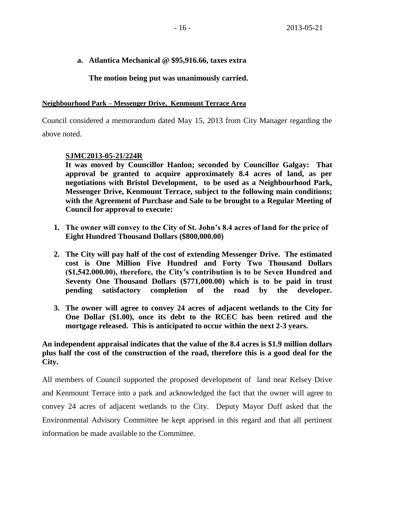### **a. Atlantica Mechanical @ \$95,916.66, taxes extra**

### **The motion being put was unanimously carried.**

### **Neighbourhood Park – Messenger Drive, Kenmount Terrace Area**

Council considered a memorandum dated May 15, 2013 from City Manager regarding the above noted.

### **SJMC2013-05-21/224R**

**It was moved by Councillor Hanlon; seconded by Councillor Galgay: That approval be granted to acquire approximately 8.4 acres of land, as per negotiations with Bristol Development, to be used as a Neighbourhood Park, Messenger Drive, Kenmount Terrace, subject to the following main conditions; with the Agreement of Purchase and Sale to be brought to a Regular Meeting of Council for approval to execute:**

- **1. The owner will convey to the City of St. John's 8.4 acres of land for the price of Eight Hundred Thousand Dollars (\$800,000.00)**
- **2. The City will pay half of the cost of extending Messenger Drive. The estimated cost is One Million Five Hundred and Forty Two Thousand Dollars (\$1,542.000.00), therefore, the City's contribution is to be Seven Hundred and Seventy One Thousand Dollars (\$771,000.00) which is to be paid in trust pending satisfactory completion of the road by the developer.**
- **3. The owner will agree to convey 24 acres of adjacent wetlands to the City for One Dollar (\$1.00), once its debt to the RCEC has been retired and the mortgage released. This is anticipated to occur within the next 2-3 years.**

## **An independent appraisal indicates that the value of the 8.4 acres is \$1.9 million dollars plus half the cost of the construction of the road, therefore this is a good deal for the City.**

All members of Council supported the proposed development of land near Kelsey Drive and Kenmount Terrace into a park and acknowledged the fact that the owner will agree to convey 24 acres of adjacent wetlands to the City. Deputy Mayor Duff asked that the Environmental Advisory Committee be kept apprised in this regard and that all pertinent information be made available to the Committee.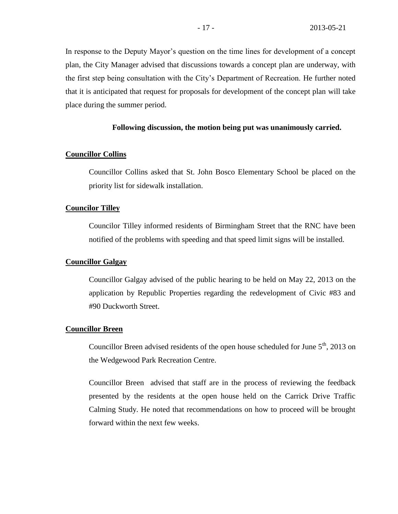In response to the Deputy Mayor's question on the time lines for development of a concept plan, the City Manager advised that discussions towards a concept plan are underway, with the first step being consultation with the City's Department of Recreation. He further noted that it is anticipated that request for proposals for development of the concept plan will take place during the summer period.

### **Following discussion, the motion being put was unanimously carried.**

### **Councillor Collins**

Councillor Collins asked that St. John Bosco Elementary School be placed on the priority list for sidewalk installation.

### **Councilor Tilley**

Councilor Tilley informed residents of Birmingham Street that the RNC have been notified of the problems with speeding and that speed limit signs will be installed.

### **Councillor Galgay**

Councillor Galgay advised of the public hearing to be held on May 22, 2013 on the application by Republic Properties regarding the redevelopment of Civic #83 and #90 Duckworth Street.

#### **Councillor Breen**

Councillor Breen advised residents of the open house scheduled for June  $5<sup>th</sup>$ , 2013 on the Wedgewood Park Recreation Centre.

Councillor Breen advised that staff are in the process of reviewing the feedback presented by the residents at the open house held on the Carrick Drive Traffic Calming Study. He noted that recommendations on how to proceed will be brought forward within the next few weeks.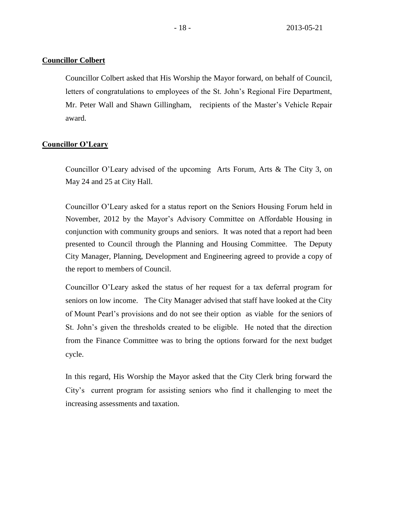### **Councillor Colbert**

Councillor Colbert asked that His Worship the Mayor forward, on behalf of Council, letters of congratulations to employees of the St. John's Regional Fire Department, Mr. Peter Wall and Shawn Gillingham, recipients of the Master's Vehicle Repair award.

### **Councillor O'Leary**

Councillor O'Leary advised of the upcoming Arts Forum, Arts & The City 3, on May 24 and 25 at City Hall.

Councillor O'Leary asked for a status report on the Seniors Housing Forum held in November, 2012 by the Mayor's Advisory Committee on Affordable Housing in conjunction with community groups and seniors. It was noted that a report had been presented to Council through the Planning and Housing Committee. The Deputy City Manager, Planning, Development and Engineering agreed to provide a copy of the report to members of Council.

Councillor O'Leary asked the status of her request for a tax deferral program for seniors on low income. The City Manager advised that staff have looked at the City of Mount Pearl's provisions and do not see their option as viable for the seniors of St. John's given the thresholds created to be eligible. He noted that the direction from the Finance Committee was to bring the options forward for the next budget cycle.

In this regard, His Worship the Mayor asked that the City Clerk bring forward the City's current program for assisting seniors who find it challenging to meet the increasing assessments and taxation.